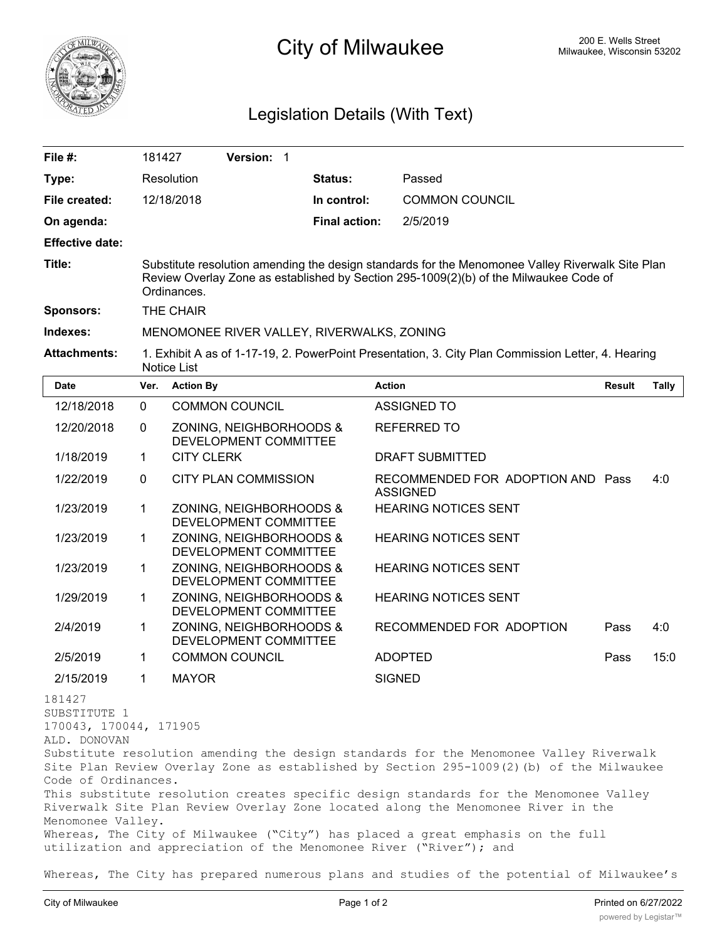

## City of Milwaukee **City of Milwaukee** 200 E. Wells Street

## Legislation Details (With Text)

| File #:                                                                                                      | 181427                                                                                                                                                                                                   | Version: 1                                                         |                      |               |                                                                                                                                                                                                                                                                                                                                                                                                                                                   |               |              |
|--------------------------------------------------------------------------------------------------------------|----------------------------------------------------------------------------------------------------------------------------------------------------------------------------------------------------------|--------------------------------------------------------------------|----------------------|---------------|---------------------------------------------------------------------------------------------------------------------------------------------------------------------------------------------------------------------------------------------------------------------------------------------------------------------------------------------------------------------------------------------------------------------------------------------------|---------------|--------------|
| Type:                                                                                                        | Resolution                                                                                                                                                                                               |                                                                    | <b>Status:</b>       |               | Passed                                                                                                                                                                                                                                                                                                                                                                                                                                            |               |              |
| File created:                                                                                                |                                                                                                                                                                                                          | 12/18/2018                                                         | In control:          |               | <b>COMMON COUNCIL</b>                                                                                                                                                                                                                                                                                                                                                                                                                             |               |              |
| On agenda:                                                                                                   |                                                                                                                                                                                                          |                                                                    | <b>Final action:</b> |               | 2/5/2019                                                                                                                                                                                                                                                                                                                                                                                                                                          |               |              |
| <b>Effective date:</b>                                                                                       |                                                                                                                                                                                                          |                                                                    |                      |               |                                                                                                                                                                                                                                                                                                                                                                                                                                                   |               |              |
| Title:                                                                                                       | Substitute resolution amending the design standards for the Menomonee Valley Riverwalk Site Plan<br>Review Overlay Zone as established by Section 295-1009(2)(b) of the Milwaukee Code of<br>Ordinances. |                                                                    |                      |               |                                                                                                                                                                                                                                                                                                                                                                                                                                                   |               |              |
| <b>Sponsors:</b>                                                                                             | THE CHAIR                                                                                                                                                                                                |                                                                    |                      |               |                                                                                                                                                                                                                                                                                                                                                                                                                                                   |               |              |
| Indexes:                                                                                                     | MENOMONEE RIVER VALLEY, RIVERWALKS, ZONING                                                                                                                                                               |                                                                    |                      |               |                                                                                                                                                                                                                                                                                                                                                                                                                                                   |               |              |
| <b>Attachments:</b>                                                                                          | 1. Exhibit A as of 1-17-19, 2. PowerPoint Presentation, 3. City Plan Commission Letter, 4. Hearing<br><b>Notice List</b>                                                                                 |                                                                    |                      |               |                                                                                                                                                                                                                                                                                                                                                                                                                                                   |               |              |
| Date                                                                                                         | Ver.                                                                                                                                                                                                     | <b>Action By</b>                                                   |                      | <b>Action</b> |                                                                                                                                                                                                                                                                                                                                                                                                                                                   | <b>Result</b> | <b>Tally</b> |
| 12/18/2018                                                                                                   | $\mathbf 0$                                                                                                                                                                                              | <b>COMMON COUNCIL</b>                                              |                      |               | <b>ASSIGNED TO</b>                                                                                                                                                                                                                                                                                                                                                                                                                                |               |              |
| 12/20/2018                                                                                                   | 0                                                                                                                                                                                                        | ZONING, NEIGHBORHOODS &<br>DEVELOPMENT COMMITTEE                   |                      |               | <b>REFERRED TO</b>                                                                                                                                                                                                                                                                                                                                                                                                                                |               |              |
| 1/18/2019                                                                                                    | 1                                                                                                                                                                                                        | <b>CITY CLERK</b>                                                  |                      |               | <b>DRAFT SUBMITTED</b>                                                                                                                                                                                                                                                                                                                                                                                                                            |               |              |
| 1/22/2019                                                                                                    | 0                                                                                                                                                                                                        | <b>CITY PLAN COMMISSION</b>                                        |                      |               | RECOMMENDED FOR ADOPTION AND Pass<br><b>ASSIGNED</b>                                                                                                                                                                                                                                                                                                                                                                                              |               | 4:0          |
| 1/23/2019                                                                                                    | 1                                                                                                                                                                                                        | ZONING, NEIGHBORHOODS &<br>DEVELOPMENT COMMITTEE                   |                      |               | <b>HEARING NOTICES SENT</b>                                                                                                                                                                                                                                                                                                                                                                                                                       |               |              |
| 1/23/2019                                                                                                    | 1                                                                                                                                                                                                        | ZONING, NEIGHBORHOODS &<br>DEVELOPMENT COMMITTEE                   |                      |               | <b>HEARING NOTICES SENT</b>                                                                                                                                                                                                                                                                                                                                                                                                                       |               |              |
| 1/23/2019                                                                                                    | 1                                                                                                                                                                                                        | ZONING, NEIGHBORHOODS &<br>DEVELOPMENT COMMITTEE                   |                      |               | <b>HEARING NOTICES SENT</b>                                                                                                                                                                                                                                                                                                                                                                                                                       |               |              |
| 1/29/2019                                                                                                    | 1                                                                                                                                                                                                        | ZONING, NEIGHBORHOODS &<br>DEVELOPMENT COMMITTEE                   |                      |               | <b>HEARING NOTICES SENT</b>                                                                                                                                                                                                                                                                                                                                                                                                                       |               |              |
| 2/4/2019                                                                                                     | 1                                                                                                                                                                                                        | ZONING, NEIGHBORHOODS &<br>DEVELOPMENT COMMITTEE                   |                      |               | RECOMMENDED FOR ADOPTION                                                                                                                                                                                                                                                                                                                                                                                                                          | Pass          | 4:0          |
| 2/5/2019                                                                                                     | 1                                                                                                                                                                                                        | <b>COMMON COUNCIL</b>                                              |                      |               | <b>ADOPTED</b>                                                                                                                                                                                                                                                                                                                                                                                                                                    | Pass          | 15:0         |
| 2/15/2019                                                                                                    | $\overline{1}$                                                                                                                                                                                           | MAYOR                                                              |                      | <b>SIGNED</b> |                                                                                                                                                                                                                                                                                                                                                                                                                                                   |               |              |
| 181427<br>SUBSTITUTE 1<br>170043, 170044, 171905<br>ALD. DONOVAN<br>Code of Ordinances.<br>Menomonee Valley. |                                                                                                                                                                                                          | utilization and appreciation of the Menomonee River ("River"); and |                      |               | Substitute resolution amending the design standards for the Menomonee Valley Riverwalk<br>Site Plan Review Overlay Zone as established by Section 295-1009(2)(b) of the Milwaukee<br>This substitute resolution creates specific design standards for the Menomonee Valley<br>Riverwalk Site Plan Review Overlay Zone located along the Menomonee River in the<br>Whereas, The City of Milwaukee ("City") has placed a great emphasis on the full |               |              |

Whereas, The City has prepared numerous plans and studies of the potential of Milwaukee's